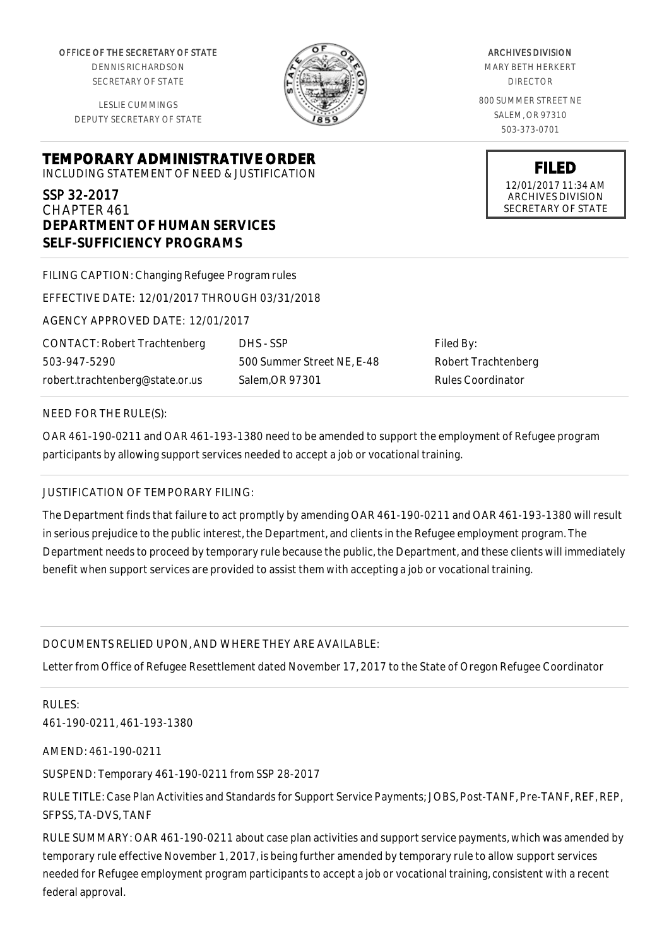OFFICE OF THE SECRETARY OF STATE

DENNIS RICHARDSON SECRETARY OF STATE

LESLIE CUMMINGS DEPUTY SECRETARY OF STATE

**TEMPORARY ADMINISTRATIVE ORDER**

INCLUDING STATEMENT OF NEED & JUSTIFICATION

# SSP 32-2017

CHAPTER 461 **DEPARTMENT OF HUMAN SERVICES SELF-SUFFICIENCY PROGRAMS**

| FILING CAPTION: Changing Refugee Program rules |                            |
|------------------------------------------------|----------------------------|
| EFFECTIVE DATE: 12/01/2017 THROUGH 03/31/2018  |                            |
| AGENCY APPROVED DATE: 12/01/2017               |                            |
| <b>CONTACT: Robert Trachtenberg</b>            | DHS - SSP                  |
| 503-947-5290                                   | 500 Summer Street NE, E-48 |
| robert.trachtenberg@state.or.us                | Salem, OR 97301            |

Filed By: Robert Trachtenberg Rules Coordinator

#### NEED FOR THE RULE(S):

OAR 461-190-0211 and OAR 461-193-1380 need to be amended to support the employment of Refugee program participants by allowing support services needed to accept a job or vocational training.

#### JUSTIFICATION OF TEMPORARY FILING:

The Department finds that failure to act promptly by amending OAR 461-190-0211 and OAR 461-193-1380 will result in serious prejudice to the public interest, the Department, and clients in the Refugee employment program. The Department needs to proceed by temporary rule because the public, the Department, and these clients will immediately benefit when support services are provided to assist them with accepting a job or vocational training.

### DOCUMENTS RELIED UPON, AND WHERE THEY ARE AVAILABLE:

Letter from Office of Refugee Resettlement dated November 17, 2017 to the State of Oregon Refugee Coordinator

RULES: 461-190-0211, 461-193-1380

AMEND: 461-190-0211

SUSPEND: Temporary 461-190-0211 from SSP 28-2017

RULE TITLE: Case Plan Activities and Standards for Support Service Payments; JOBS, Post-TANF, Pre-TANF, REF, REP, SFPSS, TA-DVS, TANF

RULE SUMMARY: OAR 461-190-0211 about case plan activities and support service payments, which was amended by temporary rule effective November 1, 2017, is being further amended by temporary rule to allow support services needed for Refugee employment program participants to accept a job or vocational training, consistent with a recent federal approval.

## ARCHIVES DIVISION MARY BETH HERKERT DIRECTOR

800 SUMMER STREET NE SALEM, OR 97310 503-373-0701

> **FILED** 12/01/2017 11:34 AM ARCHIVES DIVISION SECRETARY OF STATE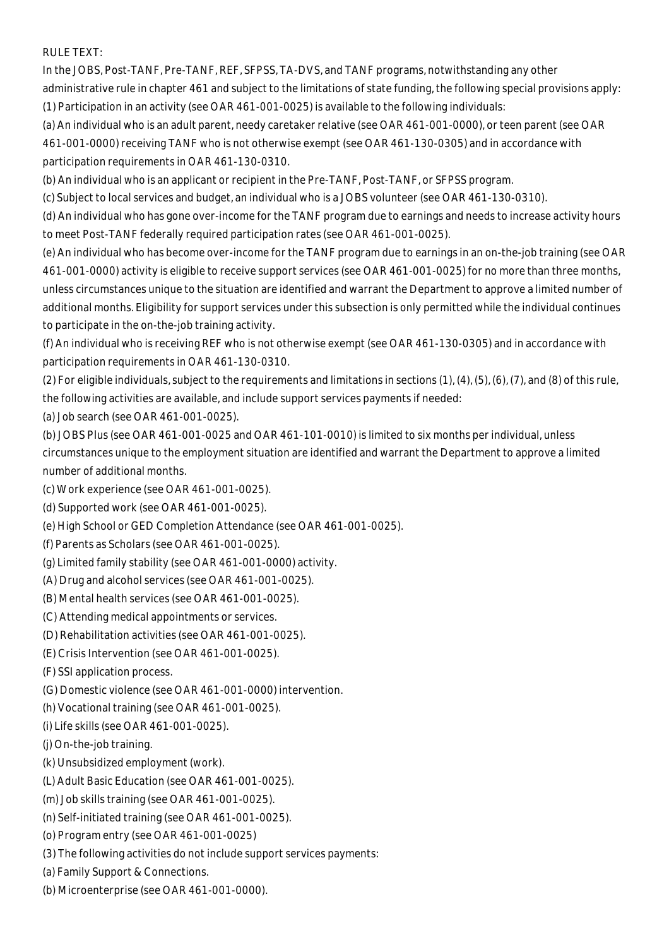RULE TEXT:

In the JOBS, Post-TANF, Pre-TANF, REF, SFPSS, TA-DVS, and TANF programs, notwithstanding any other administrative rule in chapter 461 and subject to the limitations of state funding, the following special provisions apply: (1) Participation in an activity (see OAR 461-001-0025) is available to the following individuals:

(a) An individual who is an adult parent, needy caretaker relative (see OAR 461-001-0000), or teen parent (see OAR 461-001-0000) receiving TANF who is not otherwise exempt (see OAR 461-130-0305) and in accordance with participation requirements in OAR 461-130-0310.

(b) An individual who is an applicant or recipient in the Pre-TANF, Post-TANF, or SFPSS program.

(c) Subject to local services and budget, an individual who is a JOBS volunteer (see OAR 461-130-0310).

(d) An individual who has gone over-income for the TANF program due to earnings and needs to increase activity hours to meet Post-TANF federally required participation rates (see OAR 461-001-0025).

(e) An individual who has become over-income for the TANF program due to earnings in an on-the-job training (see OAR 461-001-0000) activity is eligible to receive support services (see OAR 461-001-0025) for no more than three months, unless circumstances unique to the situation are identified and warrant the Department to approve a limited number of additional months. Eligibility for support services under this subsection is only permitted while the individual continues to participate in the on-the-job training activity.

(f) An individual who is receiving REF who is not otherwise exempt (see OAR 461-130-0305) and in accordance with participation requirements in OAR 461-130-0310.

(2) For eligible individuals, subject to the requirements and limitations in sections (1), (4), (5), (6), (7), and (8) of this rule, the following activities are available, and include support services payments if needed:

(a) Job search (see OAR 461-001-0025).

(b) JOBS Plus (see OAR 461-001-0025 and OAR 461-101-0010) is limited to six months per individual, unless circumstances unique to the employment situation are identified and warrant the Department to approve a limited number of additional months.

- (c) Work experience (see OAR 461-001-0025).
- (d) Supported work (see OAR 461-001-0025).
- (e) High School or GED Completion Attendance (see OAR 461-001-0025).
- (f) Parents as Scholars (see OAR 461-001-0025).
- (g) Limited family stability (see OAR 461-001-0000) activity.
- (A) Drug and alcohol services (see OAR 461-001-0025).
- (B) Mental health services (see OAR 461-001-0025).
- (C) Attending medical appointments or services.
- (D) Rehabilitation activities (see OAR 461-001-0025).
- (E) Crisis Intervention (see OAR 461-001-0025).
- (F) SSI application process.
- (G) Domestic violence (see OAR 461-001-0000) intervention.
- (h) Vocational training (see OAR 461-001-0025).
- (i) Life skills (see OAR 461-001-0025).
- (j) On-the-job training.
- (k) Unsubsidized employment (work).
- (L) Adult Basic Education (see OAR 461-001-0025).
- (m) Job skills training (see OAR 461-001-0025).
- (n) Self-initiated training (see OAR 461-001-0025).
- (o) Program entry (see OAR 461-001-0025)
- (3) The following activities do not include support services payments:
- (a) Family Support & Connections.
- (b) Microenterprise (see OAR 461-001-0000).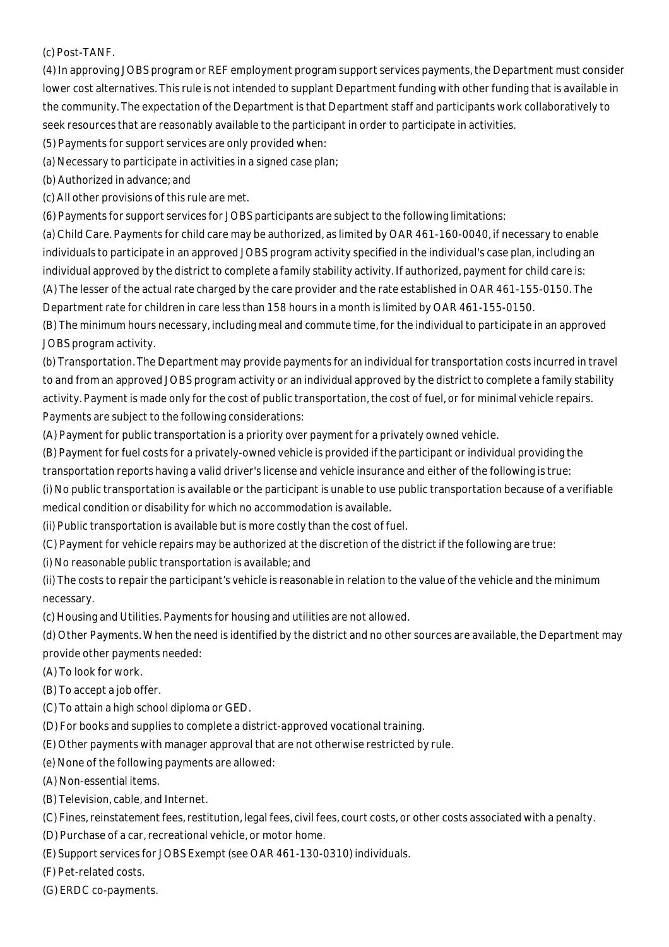(c) Post-TANF.

(4) In approving JOBS program or REF employment program support services payments, the Department must consider lower cost alternatives. This rule is not intended to supplant Department funding with other funding that is available in the community. The expectation of the Department is that Department staff and participants work collaboratively to seek resources that are reasonably available to the participant in order to participate in activities.

(5) Payments for support services are only provided when:

(a) Necessary to participate in activities in a signed case plan;

(b) Authorized in advance; and

(c) All other provisions of this rule are met.

(6) Payments for support services for JOBS participants are subject to the following limitations:

(a) Child Care. Payments for child care may be authorized, as limited by OAR 461-160-0040, if necessary to enable individuals to participate in an approved JOBS program activity specified in the individual's case plan, including an individual approved by the district to complete a family stability activity. If authorized, payment for child care is: (A) The lesser of the actual rate charged by the care provider and the rate established in OAR 461-155-0150. The Department rate for children in care less than 158 hours in a month is limited by OAR 461-155-0150.

(B) The minimum hours necessary, including meal and commute time, for the individual to participate in an approved JOBS program activity.

(b) Transportation. The Department may provide payments for an individual for transportation costs incurred in travel to and from an approved JOBS program activity or an individual approved by the district to complete a family stability activity. Payment is made only for the cost of public transportation, the cost of fuel, or for minimal vehicle repairs. Payments are subject to the following considerations:

(A) Payment for public transportation is a priority over payment for a privately owned vehicle.

(B) Payment for fuel costs for a privately-owned vehicle is provided if the participant or individual providing the

transportation reports having a valid driver's license and vehicle insurance and either of the following is true:

(i) No public transportation is available or the participant is unable to use public transportation because of a verifiable medical condition or disability for which no accommodation is available.

(ii) Public transportation is available but is more costly than the cost of fuel.

(C) Payment for vehicle repairs may be authorized at the discretion of the district if the following are true:

(i) No reasonable public transportation is available; and

(ii) The costs to repair the participant's vehicle is reasonable in relation to the value of the vehicle and the minimum necessary.

(c) Housing and Utilities. Payments for housing and utilities are not allowed.

(d) Other Payments. When the need is identified by the district and no other sources are available, the Department may provide other payments needed:

(A) To look for work.

(B) To accept a job offer.

(C) To attain a high school diploma or GED.

(D) For books and supplies to complete a district-approved vocational training.

(E) Other payments with manager approval that are not otherwise restricted by rule.

(e) None of the following payments are allowed:

(A) Non-essential items.

(B) Television, cable, and Internet.

(C) Fines, reinstatement fees, restitution, legal fees, civil fees, court costs, or other costs associated with a penalty.

(D) Purchase of a car, recreational vehicle, or motor home.

(E) Support services for JOBS Exempt (see OAR 461-130-0310) individuals.

(F) Pet-related costs.

(G) ERDC co-payments.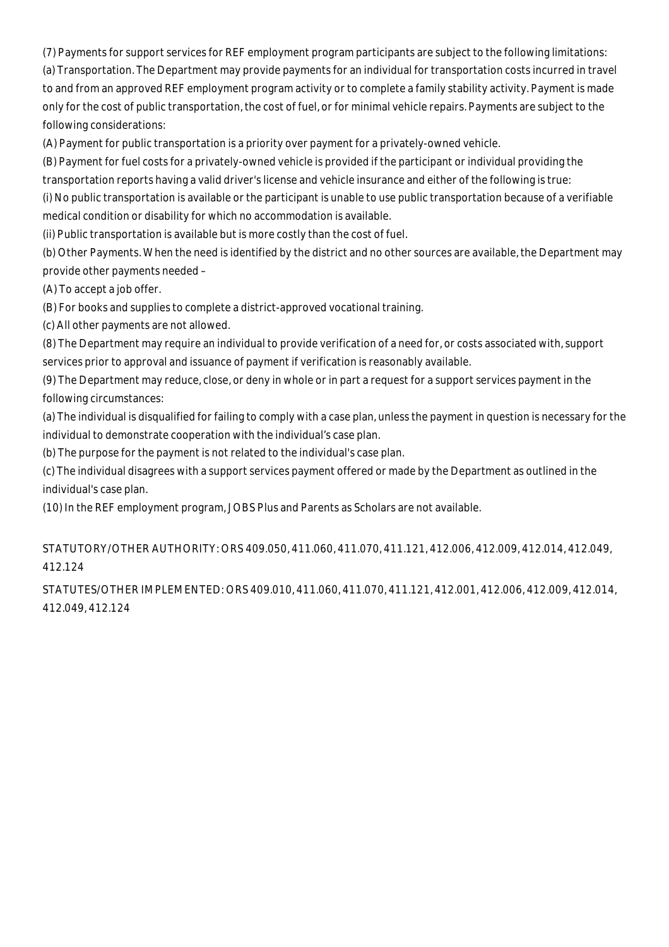(7) Payments for support services for REF employment program participants are subject to the following limitations:

(a) Transportation. The Department may provide payments for an individual for transportation costs incurred in travel to and from an approved REF employment program activity or to complete a family stability activity. Payment is made only for the cost of public transportation, the cost of fuel, or for minimal vehicle repairs. Payments are subject to the following considerations:

(A) Payment for public transportation is a priority over payment for a privately-owned vehicle.

(B) Payment for fuel costs for a privately-owned vehicle is provided if the participant or individual providing the

transportation reports having a valid driver's license and vehicle insurance and either of the following is true:

(i) No public transportation is available or the participant is unable to use public transportation because of a verifiable medical condition or disability for which no accommodation is available.

(ii) Public transportation is available but is more costly than the cost of fuel.

(b) Other Payments. When the need is identified by the district and no other sources are available, the Department may provide other payments needed –

(A) To accept a job offer.

(B) For books and supplies to complete a district-approved vocational training.

(c) All other payments are not allowed.

(8) The Department may require an individual to provide verification of a need for, or costs associated with, support services prior to approval and issuance of payment if verification is reasonably available.

(9) The Department may reduce, close, or deny in whole or in part a request for a support services payment in the following circumstances:

(a) The individual is disqualified for failing to comply with a case plan, unless the payment in question is necessary for the individual to demonstrate cooperation with the individual's case plan.

(b) The purpose for the payment is not related to the individual's case plan.

(c) The individual disagrees with a support services payment offered or made by the Department as outlined in the individual's case plan.

(10) In the REF employment program, JOBS Plus and Parents as Scholars are not available.

STATUTORY/OTHER AUTHORITY: ORS 409.050, 411.060, 411.070, 411.121, 412.006, 412.009, 412.014, 412.049, 412.124

STATUTES/OTHER IMPLEMENTED: ORS 409.010, 411.060, 411.070, 411.121, 412.001, 412.006, 412.009, 412.014, 412.049, 412.124